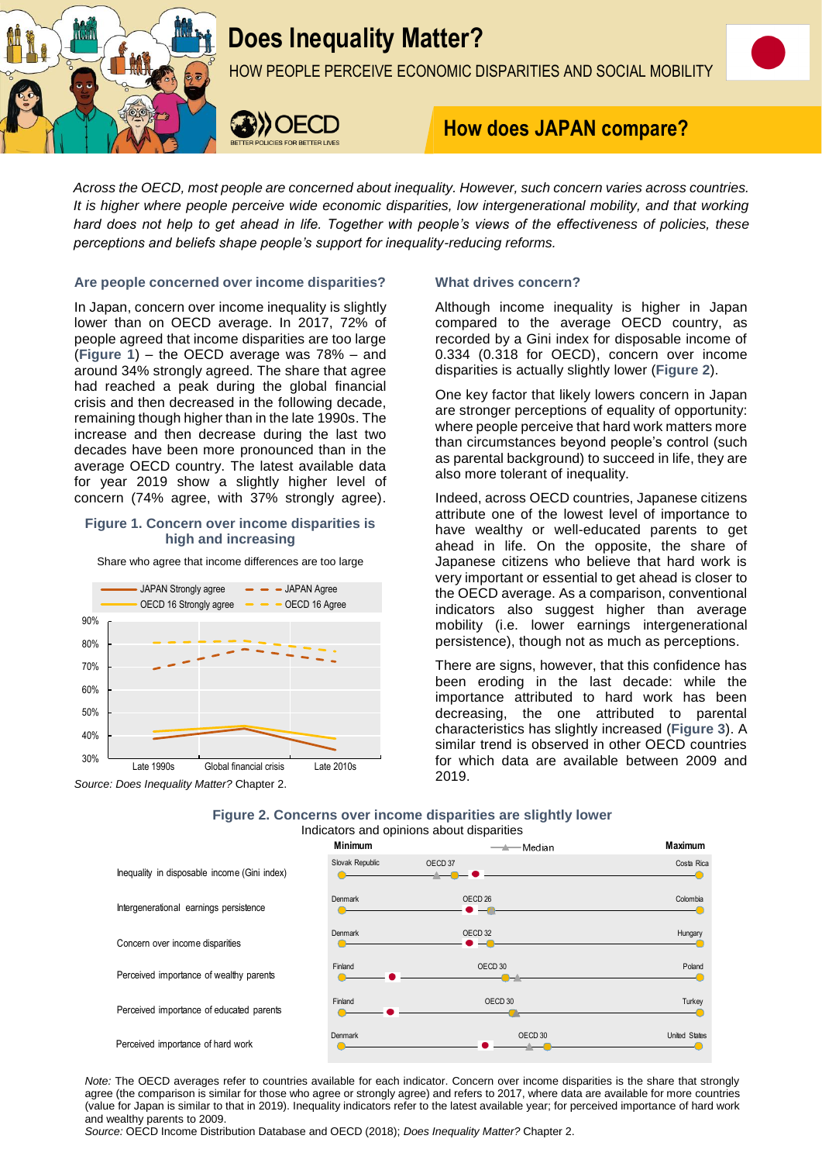

# **Does Inequality Matter?**

HOW PEOPLE PERCEIVE ECONOMIC DISPARITIES AND SOCIAL MOBILITY



# **How does JAPAN compare?**

*Across the OECD, most people are concerned about inequality. However, such concern varies across countries. It is higher where people perceive wide economic disparities, low intergenerational mobility, and that working hard does not help to get ahead in life. Together with people's views of the effectiveness of policies, these perceptions and beliefs shape people's support for inequality-reducing reforms.*

# **Are people concerned over income disparities?**

In Japan, concern over income inequality is slightly lower than on OECD average. In 2017, 72% of people agreed that income disparities are too large (**Figure 1**) – the OECD average was 78% – and around 34% strongly agreed. The share that agree had reached a peak during the global financial crisis and then decreased in the following decade, remaining though higher than in the late 1990s. The increase and then decrease during the last two decades have been more pronounced than in the average OECD country. The latest available data for year 2019 show a slightly higher level of concern (74% agree, with 37% strongly agree).

# **Figure 1. Concern over income disparities is high and increasing**

Share who agree that income differences are too large





# **What drives concern?**

Although income inequality is higher in Japan compared to the average OECD country, as recorded by a Gini index for disposable income of 0.334 (0.318 for OECD), concern over income disparities is actually slightly lower (**Figure 2**).

One key factor that likely lowers concern in Japan are stronger perceptions of equality of opportunity: where people perceive that hard work matters more than circumstances beyond people's control (such as parental background) to succeed in life, they are also more tolerant of inequality.

Indeed, across OECD countries, Japanese citizens attribute one of the lowest level of importance to have wealthy or well-educated parents to get ahead in life. On the opposite, the share of Japanese citizens who believe that hard work is very important or essential to get ahead is closer to the OECD average. As a comparison, conventional indicators also suggest higher than average mobility (i.e. lower earnings intergenerational persistence), though not as much as perceptions.

There are signs, however, that this confidence has been eroding in the last decade: while the importance attributed to hard work has been decreasing, the one attributed to parental characteristics has slightly increased (**Figure 3**). A similar trend is observed in other OECD countries for which data are available between 2009 and 2019.

# **Figure 2. Concerns over income disparities are slightly lower** Indicators and opinions about disparities



*Note:* The OECD averages refer to countries available for each indicator. Concern over income disparities is the share that strongly agree (the comparison is similar for those who agree or strongly agree) and refers to 2017, where data are available for more countries (value for Japan is similar to that in 2019). Inequality indicators refer to the latest available year; for perceived importance of hard work and wealthy parents to 2009.

*Source:* OECD Income Distribution Database and OECD (2018); *Does Inequality Matter?* Chapter 2.